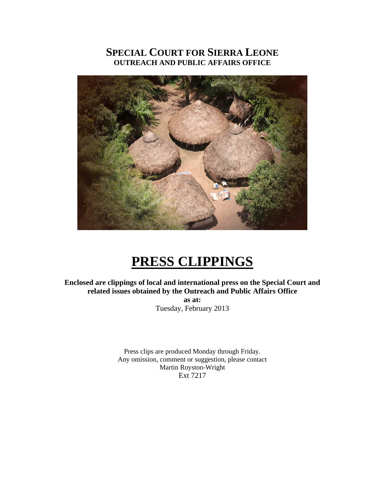## **SPECIAL COURT FOR SIERRA LEONE OUTREACH AND PUBLIC AFFAIRS OFFICE**



# **PRESS CLIPPINGS**

**Enclosed are clippings of local and international press on the Special Court and related issues obtained by the Outreach and Public Affairs Office as at:** 

Tuesday, February 2013

Press clips are produced Monday through Friday. Any omission, comment or suggestion, please contact Martin Royston-Wright Ext 7217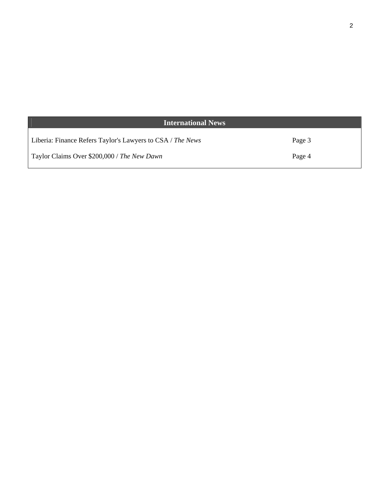| <b>International News</b>                                  |        |
|------------------------------------------------------------|--------|
| Liberia: Finance Refers Taylor's Lawyers to CSA / The News | Page 3 |
| Taylor Claims Over \$200,000 / The New Dawn                | Page 4 |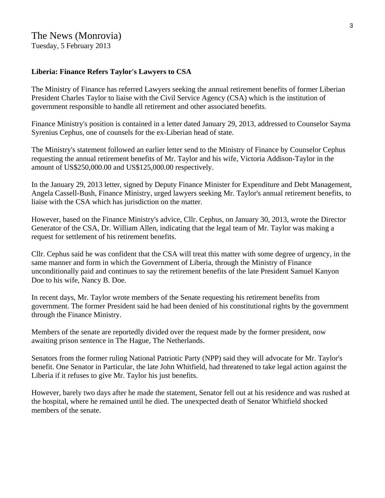Tuesday, 5 February 2013

#### **Liberia: Finance Refers Taylor's Lawyers to CSA**

The Ministry of Finance has referred Lawyers seeking the annual retirement benefits of former Liberian President Charles Taylor to liaise with the Civil Service Agency (CSA) which is the institution of government responsible to handle all retirement and other associated benefits.

Finance Ministry's position is contained in a letter dated January 29, 2013, addressed to Counselor Sayma Syrenius Cephus, one of counsels for the ex-Liberian head of state.

The Ministry's statement followed an earlier letter send to the Ministry of Finance by Counselor Cephus requesting the annual retirement benefits of Mr. Taylor and his wife, Victoria Addison-Taylor in the amount of US\$250,000.00 and US\$125,000.00 respectively.

In the January 29, 2013 letter, signed by Deputy Finance Minister for Expenditure and Debt Management, Angela Cassell-Bush, Finance Ministry, urged lawyers seeking Mr. Taylor's annual retirement benefits, to liaise with the CSA which has jurisdiction on the matter.

However, based on the Finance Ministry's advice, Cllr. Cephus, on January 30, 2013, wrote the Director Generator of the CSA, Dr. William Allen, indicating that the legal team of Mr. Taylor was making a request for settlement of his retirement benefits.

Cllr. Cephus said he was confident that the CSA will treat this matter with some degree of urgency, in the same manner and form in which the Government of Liberia, through the Ministry of Finance unconditionally paid and continues to say the retirement benefits of the late President Samuel Kanyon Doe to his wife, Nancy B. Doe.

In recent days, Mr. Taylor wrote members of the Senate requesting his retirement benefits from government. The former President said he had been denied of his constitutional rights by the government through the Finance Ministry.

Members of the senate are reportedly divided over the request made by the former president, now awaiting prison sentence in The Hague, The Netherlands.

Senators from the former ruling National Patriotic Party (NPP) said they will advocate for Mr. Taylor's benefit. One Senator in Particular, the late John Whitfield, had threatened to take legal action against the Liberia if it refuses to give Mr. Taylor his just benefits.

However, barely two days after he made the statement, Senator fell out at his residence and was rushed at the hospital, where he remained until he died. The unexpected death of Senator Whitfield shocked members of the senate.